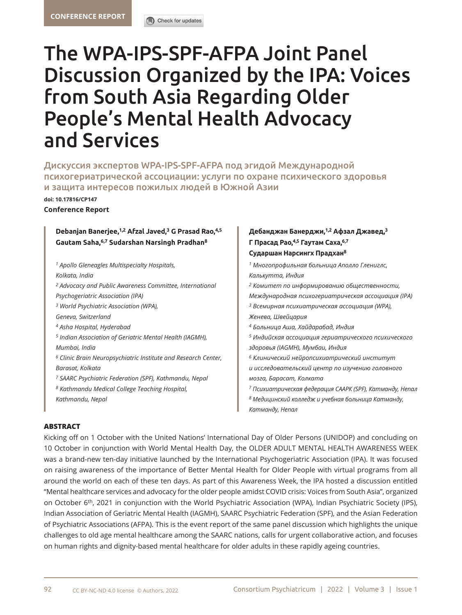# The WPA-IPS-SPF-AFPA Joint Panel Discussion Organized by the IPA: Voices from South Asia Regarding Older People's Mental Health Advocacy and Services

Дискуссия экспертов WPA-IPS-SPF-AFPA под эгидой Международной психогериатрической ассоциации: услуги по охране психического здоровья и защита интересов пожилых людей в Южной Азии

**doi[: 10.17816/CP147](DOI: https://doi.org/10.17816/CP99 )**

#### **Conference Report**

## **Debanjan Banerjee,1,2 Afzal Javed,3 G Prasad Rao,4,5 Gautam Saha,6,7 Sudarshan Narsingh Pradhan8**

*1 Apollo Gleneagles Multispecialty Hospitals, Kolkata, India 2 Advocacy and Public Awareness Committee, International Psychogeriatric Association (IPA) 3 World Psychiatric Association (WPA), Geneva, Switzerland 4 Asha Hospital, Hyderabad 5 Indian Association of Geriatric Mental Health (IAGMH), Mumbai, India 6 Clinic Brain Neuropsychiatric Institute and Research Center, Barasat, Kolkata 7 SAARC Psychiatric Federation (SPF), Kathmandu, Nepal 8 Kathmandu Medical College Teaching Hospital, Kathmandu, Nepal*

## **Дебанджан Банерджи,1,2 Афзал Джавед,<sup>3</sup> Г Прасад Рао,4,5 Гаутам Саха,6,7 Сударшан Нарсингх Прадхан<sup>8</sup>**

*<sup>1</sup> Многопрофильная больница Аполло Глениглс, Калькутта, Индия <sup>2</sup> Комитет по информированию общественности, Международная психогериатрическая ассоциация (IPA) <sup>3</sup> Всемирная психиатрическая ассоциация (WPA), Женева, Швейцария <sup>4</sup> Больница Аша, Хайдарабад, Индия <sup>5</sup> Индийская ассоциация гериатрического психического здоровья (IAGMH), Мумбаи, Индия <sup>6</sup> Клинический нейропсихиатрический институт и исследовательский центр по изучению головного мозга, Барасат, Колката <sup>7</sup> Психиатрическая федерация СААРК (SPF), Катманду, Непал <sup>8</sup> Медицинский колледж и учебная больница Катманду, Катманду, Непал* 

### **ABSTRACT**

Kicking off on 1 October with the United Nations' International Day of Older Persons (UNIDOP) and concluding on 10 October in conjunction with World Mental Health Day, the OLDER ADULT MENTAL HEALTH AWARENESS WEEK was a brand-new ten-day initiative launched by the International Psychogeriatric Association (IPA). It was focused on raising awareness of the importance of Better Mental Health for Older People with virtual programs from all around the world on each of these ten days. As part of this Awareness Week, the IPA hosted a discussion entitled "Mental healthcare services and advocacy for the older people amidst COVID crisis: Voices from South Asia", organized on October 6th, 2021 in conjunction with the World Psychiatric Association (WPA), Indian Psychiatric Society (IPS), Indian Association of Geriatric Mental Health (IAGMH), SAARC Psychiatric Federation (SPF), and the Asian Federation of Psychiatric Associations (AFPA). This is the event report of the same panel discussion which highlights the unique challenges to old age mental healthcare among the SAARC nations, calls for urgent collaborative action, and focuses on human rights and dignity-based mental healthcare for older adults in these rapidly ageing countries.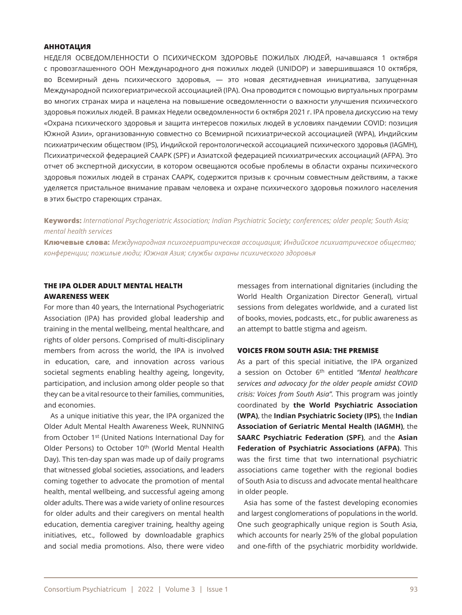#### **АННОТАЦИЯ**

НЕДЕЛЯ ОСВЕДОМЛЕННОСТИ О ПСИХИЧЕСКОМ ЗДОРОВЬЕ ПОЖИЛЫХ ЛЮДЕЙ, начавшаяся 1 октября с провозглашенного ООН Международного дня пожилых людей (UNIDOP) и завершившаяся 10 октября, во Всемирный день психического здоровья, — это новая десятидневная инициатива, запущенная Международной психогериатрической ассоциацией (IPA). Она проводится с помощью виртуальных программ во многих странах мира и нацелена на повышение осведомленности о важности улучшения психического здоровья пожилых людей. В рамках Недели осведомленности 6 октября 2021 г. IPA провела дискуссию на тему «Охрана психического здоровья и защита интересов пожилых людей в условиях пандемии COVID: позиция Южной Азии», организованную совместно со Всемирной психиатрической ассоциацией (WPA), Индийским психиатрическим обществом (IPS), Индийской геронтологической ассоциацией психического здоровья (IAGMH), Психиатрической федерацией СААРК (SPF) и Азиатской федерацией психиатрических ассоциаций (AFPA). Это отчет об экспертной дискуссии, в котором освещаются особые проблемы в области охраны психического здоровья пожилых людей в странах СААРК, содержится призыв к срочным совместным действиям, а также уделяется пристальное внимание правам человека и охране психического здоровья пожилого населения в этих быстро стареющих странах.

## **Keywords:** *International Psychogeriatric Association; Indian Psychiatric Society; conferences; older people; South Asia; mental health services*

**Ключевые слова:** *Международная психогериатрическая ассоциация; Индийское психиатрическое общество; конференции; пожилые люди; Южная Азия; службы охраны психического здоровья*

## **THE IPA OLDER ADULT MENTAL HEALTH AWARENESS WEEK**

For more than 40 years, the International Psychogeriatric Association (IPA) has provided global leadership and training in the mental wellbeing, mental healthcare, and rights of older persons. Comprised of multi-disciplinary members from across the world, the IPA is involved in education, care, and innovation across various societal segments enabling healthy ageing, longevity, participation, and inclusion among older people so that they can be a vital resource to their families, communities, and economies.

As a unique initiative this year, the IPA organized the Older Adult Mental Health Awareness Week, RUNNING from October 1st (United Nations International Day for Older Persons) to October 10<sup>th</sup> (World Mental Health Day). This ten-day span was made up of daily programs that witnessed global societies, associations, and leaders coming together to advocate the promotion of mental health, mental wellbeing, and successful ageing among older adults. There was a wide variety of online resources for older adults and their caregivers on mental health education, dementia caregiver training, healthy ageing initiatives, etc., followed by downloadable graphics and social media promotions. Also, there were video messages from international dignitaries (including the World Health Organization Director General), virtual sessions from delegates worldwide, and a curated list of books, movies, podcasts, etc., for public awareness as an attempt to battle stigma and ageism.

#### **VOICES FROM SOUTH ASIA: THE PREMISE**

As a part of this special initiative, the IPA organized a session on October 6th entitled *"Mental healthcare services and advocacy for the older people amidst COVID crisis: Voices from South Asia".* This program was jointly coordinated by **the World Psychiatric Association (WPA)**, the **Indian Psychiatric Society (IPS)**, the **Indian Association of Geriatric Mental Health (IAGMH)**, the **SAARC Psychiatric Federation (SPF)**, and the **Asian Federation of Psychiatric Associations (AFPA)**. This was the first time that two international psychiatric associations came together with the regional bodies of South Asia to discuss and advocate mental healthcare in older people.

Asia has some of the fastest developing economies and largest conglomerations of populations in the world. One such geographically unique region is South Asia, which accounts for nearly 25% of the global population and one-fifth of the psychiatric morbidity worldwide.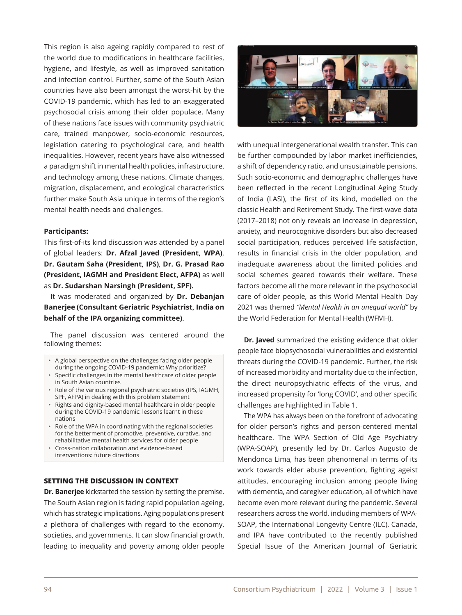This region is also ageing rapidly compared to rest of the world due to modifications in healthcare facilities, hygiene, and lifestyle, as well as improved sanitation and infection control. Further, some of the South Asian countries have also been amongst the worst-hit by the COVID-19 pandemic, which has led to an exaggerated psychosocial crisis among their older populace. Many of these nations face issues with community psychiatric care, trained manpower, socio-economic resources, legislation catering to psychological care, and health inequalities. However, recent years have also witnessed a paradigm shift in mental health policies, infrastructure, and technology among these nations. Climate changes, migration, displacement, and ecological characteristics further make South Asia unique in terms of the region's mental health needs and challenges.

#### **Participants:**

This first-of-its kind discussion was attended by a panel of global leaders: **Dr. Afzal Javed (President, WPA)**, **Dr. Gautam Saha (President, IPS)**, **Dr. G. Prasad Rao (President, IAGMH and President Elect, AFPA)** as well as **Dr. Sudarshan Narsingh (President, SPF).**

It was moderated and organized by **Dr. Debanjan Banerjee (Consultant Geriatric Psychiatrist, India on behalf of the IPA organizing committee)**.

The panel discussion was centered around the following themes:

- A global perspective on the challenges facing older people during the ongoing COVID-19 pandemic: Why prioritize?
- Specific challenges in the mental healthcare of older people in South Asian countries
- Role of the various regional psychiatric societies (IPS, IAGMH, SPF, AFPA) in dealing with this problem statement
- Rights and dignity-based mental healthcare in older people during the COVID-19 pandemic: lessons learnt in these nations
- Role of the WPA in coordinating with the regional societies for the betterment of promotive, preventive, curative, and rehabilitative mental health services for older people
- Cross-nation collaboration and evidence-based interventions: future directions

#### **SETTING THE DISCUSSION IN CONTEXT**

**Dr. Banerjee** kickstarted the session by setting the premise. The South Asian region is facing rapid population ageing, which has strategic implications. Aging populations present a plethora of challenges with regard to the economy, societies, and governments. It can slow financial growth, leading to inequality and poverty among older people



with unequal intergenerational wealth transfer. This can be further compounded by labor market inefficiencies, a shift of dependency ratio, and unsustainable pensions. Such socio-economic and demographic challenges have been reflected in the recent Longitudinal Aging Study of India (LASI), the first of its kind, modelled on the classic Health and Retirement Study. The first-wave data (2017–2018) not only reveals an increase in depression, anxiety, and neurocognitive disorders but also decreased social participation, reduces perceived life satisfaction, results in financial crisis in the older population, and inadequate awareness about the limited policies and social schemes geared towards their welfare. These factors become all the more relevant in the psychosocial care of older people, as this World Mental Health Day 2021 was themed *"Mental Health in an unequal world"* by the World Federation for Mental Health (WFMH).

**Dr. Javed** summarized the existing evidence that older people face biopsychosocial vulnerabilities and existential threats during the COVID-19 pandemic. Further, the risk of increased morbidity and mortality due to the infection, the direct neuropsychiatric effects of the virus, and increased propensity for 'long COVID', and other specific challenges are highlighted in Table 1.

The WPA has always been on the forefront of advocating for older person's rights and person-centered mental healthcare. The WPA Section of Old Age Psychiatry (WPA-SOAP), presently led by Dr. Carlos Augusto de Mendonca Lima, has been phenomenal in terms of its work towards elder abuse prevention, fighting ageist attitudes, encouraging inclusion among people living with dementia, and caregiver education, all of which have become even more relevant during the pandemic. Several researchers across the world, including members of WPA-SOAP, the International Longevity Centre (ILC), Canada, and IPA have contributed to the recently published Special Issue of the American Journal of Geriatric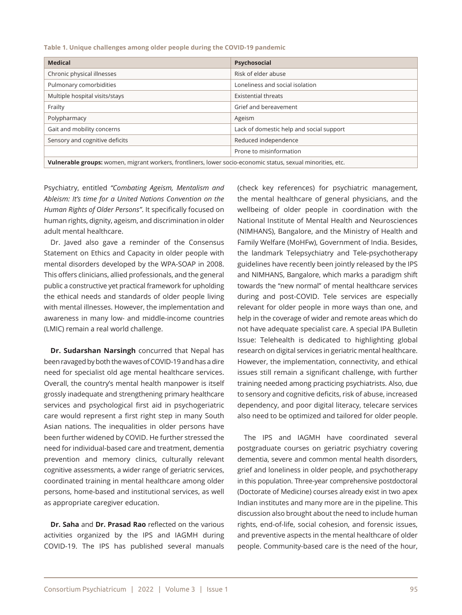**Table 1. Unique challenges among older people during the COVID-19 pandemic**

| <b>Medical</b>                                                                                               | Psychosocial                             |
|--------------------------------------------------------------------------------------------------------------|------------------------------------------|
| Chronic physical illnesses                                                                                   | Risk of elder abuse                      |
| Pulmonary comorbidities                                                                                      | Loneliness and social isolation          |
| Multiple hospital visits/stays                                                                               | <b>Existential threats</b>               |
| Frailty                                                                                                      | Grief and bereavement                    |
| Polypharmacy                                                                                                 | Ageism                                   |
| Gait and mobility concerns                                                                                   | Lack of domestic help and social support |
| Sensory and cognitive deficits                                                                               | Reduced independence                     |
|                                                                                                              | Prone to misinformation                  |
| Vulnerable groups: women, migrant workers, frontliners, lower socio-economic status, sexual minorities, etc. |                                          |

Psychiatry, entitled *"Combating Ageism, Mentalism and Ableism: It's time for a United Nations Convention on the Human Rights of Older Persons"*. It specifically focused on human rights, dignity, ageism, and discrimination in older adult mental healthcare.

Dr. Javed also gave a reminder of the Consensus Statement on Ethics and Capacity in older people with mental disorders developed by the WPA-SOAP in 2008. This offers clinicians, allied professionals, and the general public a constructive yet practical framework for upholding the ethical needs and standards of older people living with mental illnesses. However, the implementation and awareness in many low- and middle-income countries (LMIC) remain a real world challenge.

**Dr. Sudarshan Narsingh** concurred that Nepal has been ravaged by both the waves of COVID-19 and has a dire need for specialist old age mental healthcare services. Overall, the country's mental health manpower is itself grossly inadequate and strengthening primary healthcare services and psychological first aid in psychogeriatric care would represent a first right step in many South Asian nations. The inequalities in older persons have been further widened by COVID. He further stressed the need for individual-based care and treatment, dementia prevention and memory clinics, culturally relevant cognitive assessments, a wider range of geriatric services, coordinated training in mental healthcare among older persons, home-based and institutional services, as well as appropriate caregiver education.

**Dr. Saha** and **Dr. Prasad Rao** reflected on the various activities organized by the IPS and IAGMH during COVID-19. The IPS has published several manuals (check key references) for psychiatric management, the mental healthcare of general physicians, and the wellbeing of older people in coordination with the National Institute of Mental Health and Neurosciences (NIMHANS), Bangalore, and the Ministry of Health and Family Welfare (MoHFw), Government of India. Besides, the landmark Telepsychiatry and Tele-psychotherapy guidelines have recently been jointly released by the IPS and NIMHANS, Bangalore, which marks a paradigm shift towards the "new normal" of mental healthcare services during and post-COVID. Tele services are especially relevant for older people in more ways than one, and help in the coverage of wider and remote areas which do not have adequate specialist care. A special IPA Bulletin Issue: Telehealth is dedicated to highlighting global research on digital services in geriatric mental healthcare. However, the implementation, connectivity, and ethical issues still remain a significant challenge, with further training needed among practicing psychiatrists. Also, due to sensory and cognitive deficits, risk of abuse, increased dependency, and poor digital literacy, telecare services also need to be optimized and tailored for older people.

The IPS and IAGMH have coordinated several postgraduate courses on geriatric psychiatry covering dementia, severe and common mental health disorders, grief and loneliness in older people, and psychotherapy in this population. Three-year comprehensive postdoctoral (Doctorate of Medicine) courses already exist in two apex Indian institutes and many more are in the pipeline. This discussion also brought about the need to include human rights, end-of-life, social cohesion, and forensic issues, and preventive aspects in the mental healthcare of older people. Community-based care is the need of the hour,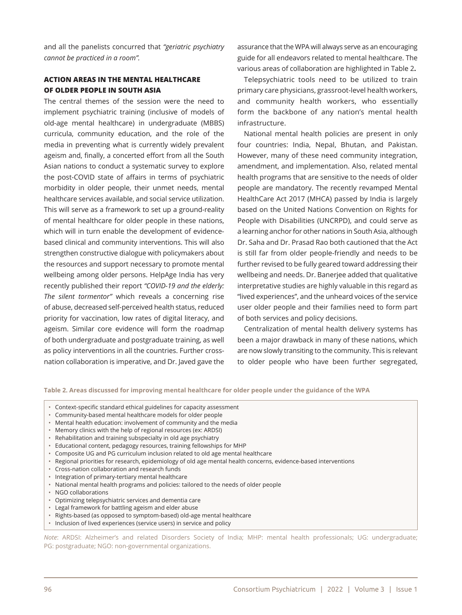and all the panelists concurred that *"geriatric psychiatry cannot be practiced in a room".*

## **ACTION AREAS IN THE MENTAL HEALTHCARE OF OLDER PEOPLE IN SOUTH ASIA**

The central themes of the session were the need to implement psychiatric training (inclusive of models of old-age mental healthcare) in undergraduate (MBBS) curricula, community education, and the role of the media in preventing what is currently widely prevalent ageism and, finally, a concerted effort from all the South Asian nations to conduct a systematic survey to explore the post-COVID state of affairs in terms of psychiatric morbidity in older people, their unmet needs, mental healthcare services available, and social service utilization. This will serve as a framework to set up a ground-reality of mental healthcare for older people in these nations, which will in turn enable the development of evidencebased clinical and community interventions. This will also strengthen constructive dialogue with policymakers about the resources and support necessary to promote mental wellbeing among older persons. HelpAge India has very recently published their report *"COVID-19 and the elderly: The silent tormentor"* which reveals a concerning rise of abuse, decreased self-perceived health status, reduced priority for vaccination, low rates of digital literacy, and ageism. Similar core evidence will form the roadmap of both undergraduate and postgraduate training, as well as policy interventions in all the countries. Further crossnation collaboration is imperative, and Dr. Javed gave the

assurance that the WPA will always serve as an encouraging guide for all endeavors related to mental healthcare. The various areas of collaboration are highlighted in Table 2**.**

Telepsychiatric tools need to be utilized to train primary care physicians, grassroot-level health workers, and community health workers, who essentially form the backbone of any nation's mental health infrastructure.

National mental health policies are present in only four countries: India, Nepal, Bhutan, and Pakistan. However, many of these need community integration, amendment, and implementation. Also, related mental health programs that are sensitive to the needs of older people are mandatory. The recently revamped Mental HealthCare Act 2017 (MHCA) passed by India is largely based on the United Nations Convention on Rights for People with Disabilities (UNCRPD), and could serve as a learning anchor for other nations in South Asia, although Dr. Saha and Dr. Prasad Rao both cautioned that the Act is still far from older people-friendly and needs to be further revised to be fully geared toward addressing their wellbeing and needs. Dr. Banerjee added that qualitative interpretative studies are highly valuable in this regard as "lived experiences", and the unheard voices of the service user older people and their families need to form part of both services and policy decisions.

Centralization of mental health delivery systems has been a major drawback in many of these nations, which are now slowly transiting to the community. This is relevant to older people who have been further segregated,

**Table 2. Areas discussed for improving mental healthcare for older people under the guidance of the WPA**

- Context-specific standard ethical guidelines for capacity assessment
- Community-based mental healthcare models for older people
- Mental health education: involvement of community and the media
- Memory clinics with the help of regional resources (ex: ARDSI)
- Rehabilitation and training subspecialty in old age psychiatry
- Educational content, pedagogy resources, training fellowships for MHP
- Composite UG and PG curriculum inclusion related to old age mental healthcare
- Regional priorities for research, epidemiology of old age mental health concerns, evidence-based interventions
- Cross-nation collaboration and research funds
- Integration of primary-tertiary mental healthcare
- National mental health programs and policies: tailored to the needs of older people
- NGO collaborations
- Optimizing telepsychiatric services and dementia care
- Legal framework for battling ageism and elder abuse
- Rights-based (as opposed to symptom-based) old-age mental healthcare
- Inclusion of lived experiences (service users) in service and policy

*Note*: ARDSI: Alzheimer's and related Disorders Society of India; MHP: mental health professionals; UG: undergraduate; PG: postgraduate; NGO: non-governmental organizations.